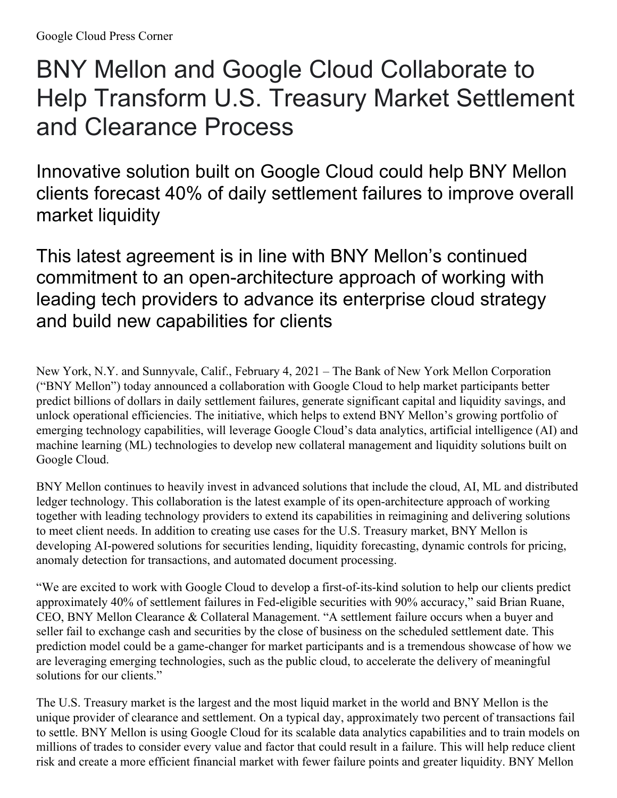## BNY Mellon and Google Cloud Collaborate to Help Transform U.S. Treasury Market Settlement and Clearance Process

Innovative solution built on Google Cloud could help BNY Mellon clients forecast 40% of daily settlement failures to improve overall market liquidity

This latest agreement is in line with BNY Mellon's continued commitment to an open-architecture approach of working with leading tech providers to advance its enterprise cloud strategy and build new capabilities for clients

New York, N.Y. and Sunnyvale, Calif., February 4, 2021 – The Bank of New York Mellon Corporation ("BNY Mellon") today announced a collaboration with Google Cloud to help market participants better predict billions of dollars in daily settlement failures, generate significant capital and liquidity savings, and unlock operational efficiencies. The initiative, which helps to extend BNY Mellon's growing portfolio of emerging technology capabilities, will leverage Google Cloud's data analytics, artificial intelligence (AI) and machine learning (ML) technologies to develop new collateral management and liquidity solutions built on Google Cloud.

BNY Mellon continues to heavily invest in advanced solutions that include the cloud, AI, ML and distributed ledger technology. This collaboration is the latest example of its open-architecture approach of working together with leading technology providers to extend its capabilities in reimagining and delivering solutions to meet client needs. In addition to creating use cases for the U.S. Treasury market, BNY Mellon is developing AI-powered solutions for securities lending, liquidity forecasting, dynamic controls for pricing, anomaly detection for transactions, and automated document processing.

"We are excited to work with Google Cloud to develop a first-of-its-kind solution to help our clients predict approximately 40% of settlement failures in Fed-eligible securities with 90% accuracy," said Brian Ruane, CEO, BNY Mellon Clearance & Collateral Management. "A settlement failure occurs when a buyer and seller fail to exchange cash and securities by the close of business on the scheduled settlement date. This prediction model could be a game-changer for market participants and is a tremendous showcase of how we are leveraging emerging technologies, such as the public cloud, to accelerate the delivery of meaningful solutions for our clients."

The U.S. Treasury market is the largest and the most liquid market in the world and BNY Mellon is the unique provider of clearance and settlement. On a typical day, approximately two percent of transactions fail to settle. BNY Mellon is using Google Cloud for its scalable data analytics capabilities and to train models on millions of trades to consider every value and factor that could result in a failure. This will help reduce client risk and create a more efficient financial market with fewer failure points and greater liquidity. BNY Mellon